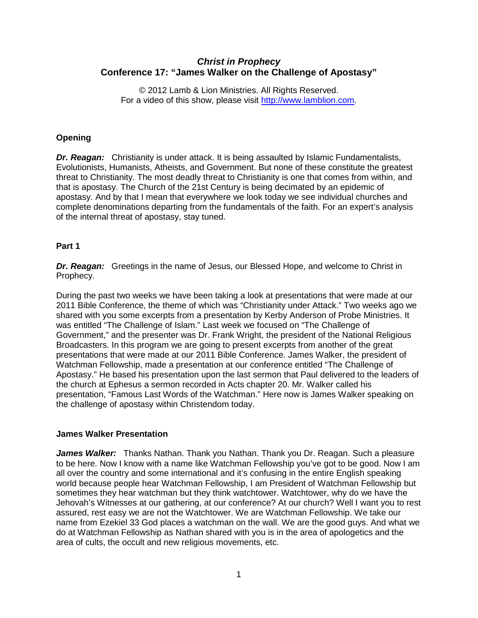# *Christ in Prophecy* **Conference 17: "James Walker on the Challenge of Apostasy"**

© 2012 Lamb & Lion Ministries. All Rights Reserved. For a video of this show, please visit [http://www.lamblion.com.](http://www.lamblion.com/)

## **Opening**

*Dr. Reagan:* Christianity is under attack. It is being assaulted by Islamic Fundamentalists, Evolutionists, Humanists, Atheists, and Government. But none of these constitute the greatest threat to Christianity. The most deadly threat to Christianity is one that comes from within, and that is apostasy. The Church of the 21st Century is being decimated by an epidemic of apostasy. And by that I mean that everywhere we look today we see individual churches and complete denominations departing from the fundamentals of the faith. For an expert's analysis of the internal threat of apostasy, stay tuned.

## **Part 1**

*Dr. Reagan:* Greetings in the name of Jesus, our Blessed Hope, and welcome to Christ in Prophecy.

During the past two weeks we have been taking a look at presentations that were made at our 2011 Bible Conference, the theme of which was "Christianity under Attack." Two weeks ago we shared with you some excerpts from a presentation by Kerby Anderson of Probe Ministries. It was entitled "The Challenge of Islam." Last week we focused on "The Challenge of Government," and the presenter was Dr. Frank Wright, the president of the National Religious Broadcasters. In this program we are going to present excerpts from another of the great presentations that were made at our 2011 Bible Conference. James Walker, the president of Watchman Fellowship, made a presentation at our conference entitled "The Challenge of Apostasy." He based his presentation upon the last sermon that Paul delivered to the leaders of the church at Ephesus a sermon recorded in Acts chapter 20. Mr. Walker called his presentation, "Famous Last Words of the Watchman." Here now is James Walker speaking on the challenge of apostasy within Christendom today.

## **James Walker Presentation**

*James Walker:* Thanks Nathan. Thank you Nathan. Thank you Dr. Reagan. Such a pleasure to be here. Now I know with a name like Watchman Fellowship you've got to be good. Now I am all over the country and some international and it's confusing in the entire English speaking world because people hear Watchman Fellowship, I am President of Watchman Fellowship but sometimes they hear watchman but they think watchtower. Watchtower, why do we have the Jehovah's Witnesses at our gathering, at our conference? At our church? Well I want you to rest assured, rest easy we are not the Watchtower. We are Watchman Fellowship. We take our name from Ezekiel 33 God places a watchman on the wall. We are the good guys. And what we do at Watchman Fellowship as Nathan shared with you is in the area of apologetics and the area of cults, the occult and new religious movements, etc.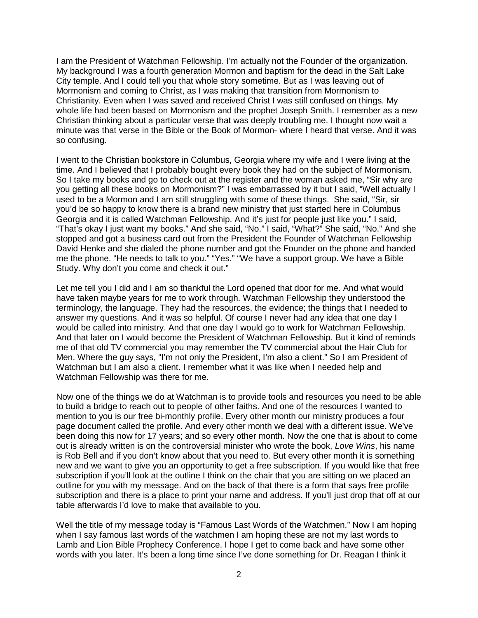I am the President of Watchman Fellowship. I'm actually not the Founder of the organization. My background I was a fourth generation Mormon and baptism for the dead in the Salt Lake City temple. And I could tell you that whole story sometime. But as I was leaving out of Mormonism and coming to Christ, as I was making that transition from Mormonism to Christianity. Even when I was saved and received Christ I was still confused on things. My whole life had been based on Mormonism and the prophet Joseph Smith. I remember as a new Christian thinking about a particular verse that was deeply troubling me. I thought now wait a minute was that verse in the Bible or the Book of Mormon- where I heard that verse. And it was so confusing.

I went to the Christian bookstore in Columbus, Georgia where my wife and I were living at the time. And I believed that I probably bought every book they had on the subject of Mormonism. So I take my books and go to check out at the register and the woman asked me, "Sir why are you getting all these books on Mormonism?" I was embarrassed by it but I said, "Well actually I used to be a Mormon and I am still struggling with some of these things. She said, "Sir, sir you'd be so happy to know there is a brand new ministry that just started here in Columbus Georgia and it is called Watchman Fellowship. And it's just for people just like you." I said, "That's okay I just want my books." And she said, "No." I said, "What?" She said, "No." And she stopped and got a business card out from the President the Founder of Watchman Fellowship David Henke and she dialed the phone number and got the Founder on the phone and handed me the phone. "He needs to talk to you." "Yes." "We have a support group. We have a Bible Study. Why don't you come and check it out."

Let me tell you I did and I am so thankful the Lord opened that door for me. And what would have taken maybe years for me to work through. Watchman Fellowship they understood the terminology, the language. They had the resources, the evidence; the things that I needed to answer my questions. And it was so helpful. Of course I never had any idea that one day I would be called into ministry. And that one day I would go to work for Watchman Fellowship. And that later on I would become the President of Watchman Fellowship. But it kind of reminds me of that old TV commercial you may remember the TV commercial about the Hair Club for Men. Where the guy says, "I'm not only the President, I'm also a client." So I am President of Watchman but I am also a client. I remember what it was like when I needed help and Watchman Fellowship was there for me.

Now one of the things we do at Watchman is to provide tools and resources you need to be able to build a bridge to reach out to people of other faiths. And one of the resources I wanted to mention to you is our free bi-monthly profile. Every other month our ministry produces a four page document called the profile. And every other month we deal with a different issue. We've been doing this now for 17 years; and so every other month. Now the one that is about to come out is already written is on the controversial minister who wrote the book, *Love Wins*, his name is Rob Bell and if you don't know about that you need to. But every other month it is something new and we want to give you an opportunity to get a free subscription. If you would like that free subscription if you'll look at the outline I think on the chair that you are sitting on we placed an outline for you with my message. And on the back of that there is a form that says free profile subscription and there is a place to print your name and address. If you'll just drop that off at our table afterwards I'd love to make that available to you.

Well the title of my message today is "Famous Last Words of the Watchmen." Now I am hoping when I say famous last words of the watchmen I am hoping these are not my last words to Lamb and Lion Bible Prophecy Conference. I hope I get to come back and have some other words with you later. It's been a long time since I've done something for Dr. Reagan I think it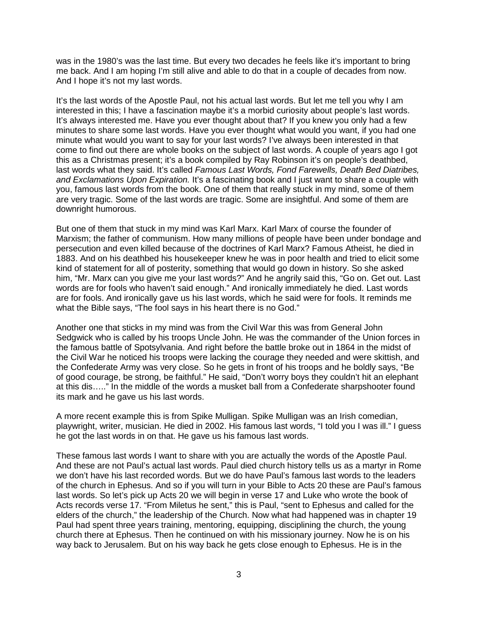was in the 1980's was the last time. But every two decades he feels like it's important to bring me back. And I am hoping I'm still alive and able to do that in a couple of decades from now. And I hope it's not my last words.

It's the last words of the Apostle Paul, not his actual last words. But let me tell you why I am interested in this; I have a fascination maybe it's a morbid curiosity about people's last words. It's always interested me. Have you ever thought about that? If you knew you only had a few minutes to share some last words. Have you ever thought what would you want, if you had one minute what would you want to say for your last words? I've always been interested in that come to find out there are whole books on the subject of last words. A couple of years ago I got this as a Christmas present; it's a book compiled by Ray Robinson it's on people's deathbed, last words what they said. It's called *Famous Last Words, Fond Farewells, Death Bed Diatribes, and Exclamations Upon Expiration.* It's a fascinating book and I just want to share a couple with you, famous last words from the book. One of them that really stuck in my mind, some of them are very tragic. Some of the last words are tragic. Some are insightful. And some of them are downright humorous.

But one of them that stuck in my mind was Karl Marx. Karl Marx of course the founder of Marxism; the father of communism. How many millions of people have been under bondage and persecution and even killed because of the doctrines of Karl Marx? Famous Atheist, he died in 1883. And on his deathbed his housekeeper knew he was in poor health and tried to elicit some kind of statement for all of posterity, something that would go down in history. So she asked him, "Mr. Marx can you give me your last words?" And he angrily said this, "Go on. Get out. Last words are for fools who haven't said enough." And ironically immediately he died. Last words are for fools. And ironically gave us his last words, which he said were for fools. It reminds me what the Bible says, "The fool says in his heart there is no God."

Another one that sticks in my mind was from the Civil War this was from General John Sedgwick who is called by his troops Uncle John. He was the commander of the Union forces in the famous battle of Spotsylvania. And right before the battle broke out in 1864 in the midst of the Civil War he noticed his troops were lacking the courage they needed and were skittish, and the Confederate Army was very close. So he gets in front of his troops and he boldly says, "Be of good courage, be strong, be faithful." He said, "Don't worry boys they couldn't hit an elephant at this dis….." In the middle of the words a musket ball from a Confederate sharpshooter found its mark and he gave us his last words.

A more recent example this is from Spike Mulligan. Spike Mulligan was an Irish comedian, playwright, writer, musician. He died in 2002. His famous last words, "I told you I was ill." I guess he got the last words in on that. He gave us his famous last words.

These famous last words I want to share with you are actually the words of the Apostle Paul. And these are not Paul's actual last words. Paul died church history tells us as a martyr in Rome we don't have his last recorded words. But we do have Paul's famous last words to the leaders of the church in Ephesus. And so if you will turn in your Bible to Acts 20 these are Paul's famous last words. So let's pick up Acts 20 we will begin in verse 17 and Luke who wrote the book of Acts records verse 17. "From Miletus he sent," this is Paul, "sent to Ephesus and called for the elders of the church," the leadership of the Church. Now what had happened was in chapter 19 Paul had spent three years training, mentoring, equipping, disciplining the church, the young church there at Ephesus. Then he continued on with his missionary journey. Now he is on his way back to Jerusalem. But on his way back he gets close enough to Ephesus. He is in the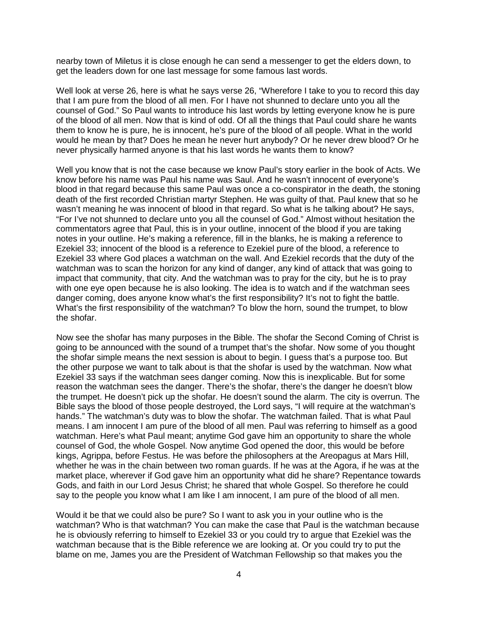nearby town of Miletus it is close enough he can send a messenger to get the elders down, to get the leaders down for one last message for some famous last words.

Well look at verse 26, here is what he says verse 26, "Wherefore I take to you to record this day that I am pure from the blood of all men. For I have not shunned to declare unto you all the counsel of God." So Paul wants to introduce his last words by letting everyone know he is pure of the blood of all men. Now that is kind of odd. Of all the things that Paul could share he wants them to know he is pure, he is innocent, he's pure of the blood of all people. What in the world would he mean by that? Does he mean he never hurt anybody? Or he never drew blood? Or he never physically harmed anyone is that his last words he wants them to know?

Well you know that is not the case because we know Paul's story earlier in the book of Acts. We know before his name was Paul his name was Saul. And he wasn't innocent of everyone's blood in that regard because this same Paul was once a co-conspirator in the death, the stoning death of the first recorded Christian martyr Stephen. He was guilty of that. Paul knew that so he wasn't meaning he was innocent of blood in that regard. So what is he talking about? He says, "For I've not shunned to declare unto you all the counsel of God." Almost without hesitation the commentators agree that Paul, this is in your outline, innocent of the blood if you are taking notes in your outline. He's making a reference, fill in the blanks, he is making a reference to Ezekiel 33; innocent of the blood is a reference to Ezekiel pure of the blood, a reference to Ezekiel 33 where God places a watchman on the wall. And Ezekiel records that the duty of the watchman was to scan the horizon for any kind of danger, any kind of attack that was going to impact that community, that city. And the watchman was to pray for the city, but he is to pray with one eye open because he is also looking. The idea is to watch and if the watchman sees danger coming, does anyone know what's the first responsibility? It's not to fight the battle. What's the first responsibility of the watchman? To blow the horn, sound the trumpet, to blow the shofar.

Now see the shofar has many purposes in the Bible. The shofar the Second Coming of Christ is going to be announced with the sound of a trumpet that's the shofar. Now some of you thought the shofar simple means the next session is about to begin. I guess that's a purpose too. But the other purpose we want to talk about is that the shofar is used by the watchman. Now what Ezekiel 33 says if the watchman sees danger coming. Now this is inexplicable. But for some reason the watchman sees the danger. There's the shofar, there's the danger he doesn't blow the trumpet. He doesn't pick up the shofar. He doesn't sound the alarm. The city is overrun. The Bible says the blood of those people destroyed, the Lord says, "I will require at the watchman's hands." The watchman's duty was to blow the shofar. The watchman failed. That is what Paul means. I am innocent I am pure of the blood of all men. Paul was referring to himself as a good watchman. Here's what Paul meant; anytime God gave him an opportunity to share the whole counsel of God, the whole Gospel. Now anytime God opened the door, this would be before kings, Agrippa, before Festus. He was before the philosophers at the Areopagus at Mars Hill, whether he was in the chain between two roman guards. If he was at the Agora, if he was at the market place, wherever if God gave him an opportunity what did he share? Repentance towards Gods, and faith in our Lord Jesus Christ; he shared that whole Gospel. So therefore he could say to the people you know what I am like I am innocent, I am pure of the blood of all men.

Would it be that we could also be pure? So I want to ask you in your outline who is the watchman? Who is that watchman? You can make the case that Paul is the watchman because he is obviously referring to himself to Ezekiel 33 or you could try to argue that Ezekiel was the watchman because that is the Bible reference we are looking at. Or you could try to put the blame on me, James you are the President of Watchman Fellowship so that makes you the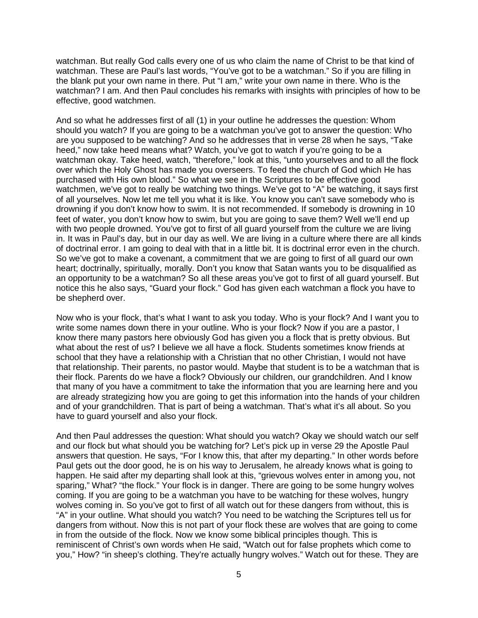watchman. But really God calls every one of us who claim the name of Christ to be that kind of watchman. These are Paul's last words, "You've got to be a watchman." So if you are filling in the blank put your own name in there. Put "I am," write your own name in there. Who is the watchman? I am. And then Paul concludes his remarks with insights with principles of how to be effective, good watchmen.

And so what he addresses first of all (1) in your outline he addresses the question: Whom should you watch? If you are going to be a watchman you've got to answer the question: Who are you supposed to be watching? And so he addresses that in verse 28 when he says, "Take heed," now take heed means what? Watch, you've got to watch if you're going to be a watchman okay. Take heed, watch, "therefore," look at this, "unto yourselves and to all the flock over which the Holy Ghost has made you overseers. To feed the church of God which He has purchased with His own blood." So what we see in the Scriptures to be effective good watchmen, we've got to really be watching two things. We've got to "A" be watching, it says first of all yourselves. Now let me tell you what it is like. You know you can't save somebody who is drowning if you don't know how to swim. It is not recommended. If somebody is drowning in 10 feet of water, you don't know how to swim, but you are going to save them? Well we'll end up with two people drowned. You've got to first of all guard yourself from the culture we are living in. It was in Paul's day, but in our day as well. We are living in a culture where there are all kinds of doctrinal error. I am going to deal with that in a little bit. It is doctrinal error even in the church. So we've got to make a covenant, a commitment that we are going to first of all guard our own heart; doctrinally, spiritually, morally. Don't you know that Satan wants you to be disqualified as an opportunity to be a watchman? So all these areas you've got to first of all guard yourself. But notice this he also says, "Guard your flock." God has given each watchman a flock you have to be shepherd over.

Now who is your flock, that's what I want to ask you today. Who is your flock? And I want you to write some names down there in your outline. Who is your flock? Now if you are a pastor, I know there many pastors here obviously God has given you a flock that is pretty obvious. But what about the rest of us? I believe we all have a flock. Students sometimes know friends at school that they have a relationship with a Christian that no other Christian, I would not have that relationship. Their parents, no pastor would. Maybe that student is to be a watchman that is their flock. Parents do we have a flock? Obviously our children, our grandchildren. And I know that many of you have a commitment to take the information that you are learning here and you are already strategizing how you are going to get this information into the hands of your children and of your grandchildren. That is part of being a watchman. That's what it's all about. So you have to guard yourself and also your flock.

And then Paul addresses the question: What should you watch? Okay we should watch our self and our flock but what should you be watching for? Let's pick up in verse 29 the Apostle Paul answers that question. He says, "For I know this, that after my departing." In other words before Paul gets out the door good, he is on his way to Jerusalem, he already knows what is going to happen. He said after my departing shall look at this, "grievous wolves enter in among you, not sparing," What? "the flock." Your flock is in danger. There are going to be some hungry wolves coming. If you are going to be a watchman you have to be watching for these wolves, hungry wolves coming in. So you've got to first of all watch out for these dangers from without, this is "A" in your outline. What should you watch? You need to be watching the Scriptures tell us for dangers from without. Now this is not part of your flock these are wolves that are going to come in from the outside of the flock. Now we know some biblical principles though. This is reminiscent of Christ's own words when He said, "Watch out for false prophets which come to you," How? "in sheep's clothing. They're actually hungry wolves." Watch out for these. They are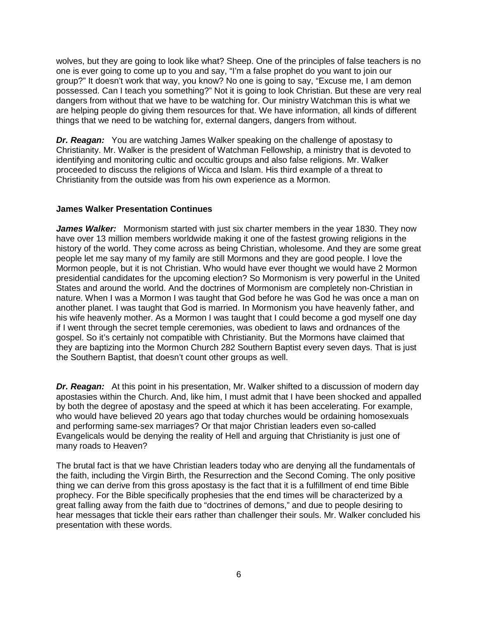wolves, but they are going to look like what? Sheep. One of the principles of false teachers is no one is ever going to come up to you and say, "I'm a false prophet do you want to join our group?" It doesn't work that way, you know? No one is going to say, "Excuse me, I am demon possessed. Can I teach you something?" Not it is going to look Christian. But these are very real dangers from without that we have to be watching for. Our ministry Watchman this is what we are helping people do giving them resources for that. We have information, all kinds of different things that we need to be watching for, external dangers, dangers from without.

*Dr. Reagan:* You are watching James Walker speaking on the challenge of apostasy to Christianity. Mr. Walker is the president of Watchman Fellowship, a ministry that is devoted to identifying and monitoring cultic and occultic groups and also false religions. Mr. Walker proceeded to discuss the religions of Wicca and Islam. His third example of a threat to Christianity from the outside was from his own experience as a Mormon.

## **James Walker Presentation Continues**

*James Walker:* Mormonism started with just six charter members in the year 1830. They now have over 13 million members worldwide making it one of the fastest growing religions in the history of the world. They come across as being Christian, wholesome. And they are some great people let me say many of my family are still Mormons and they are good people. I love the Mormon people, but it is not Christian. Who would have ever thought we would have 2 Mormon presidential candidates for the upcoming election? So Mormonism is very powerful in the United States and around the world. And the doctrines of Mormonism are completely non-Christian in nature. When I was a Mormon I was taught that God before he was God he was once a man on another planet. I was taught that God is married. In Mormonism you have heavenly father, and his wife heavenly mother. As a Mormon I was taught that I could become a god myself one day if I went through the secret temple ceremonies, was obedient to laws and ordnances of the gospel. So it's certainly not compatible with Christianity. But the Mormons have claimed that they are baptizing into the Mormon Church 282 Southern Baptist every seven days. That is just the Southern Baptist, that doesn't count other groups as well.

*Dr. Reagan:* At this point in his presentation, Mr. Walker shifted to a discussion of modern day apostasies within the Church. And, like him, I must admit that I have been shocked and appalled by both the degree of apostasy and the speed at which it has been accelerating. For example, who would have believed 20 years ago that today churches would be ordaining homosexuals and performing same-sex marriages? Or that major Christian leaders even so-called Evangelicals would be denying the reality of Hell and arguing that Christianity is just one of many roads to Heaven?

The brutal fact is that we have Christian leaders today who are denying all the fundamentals of the faith, including the Virgin Birth, the Resurrection and the Second Coming. The only positive thing we can derive from this gross apostasy is the fact that it is a fulfillment of end time Bible prophecy. For the Bible specifically prophesies that the end times will be characterized by a great falling away from the faith due to "doctrines of demons," and due to people desiring to hear messages that tickle their ears rather than challenger their souls. Mr. Walker concluded his presentation with these words.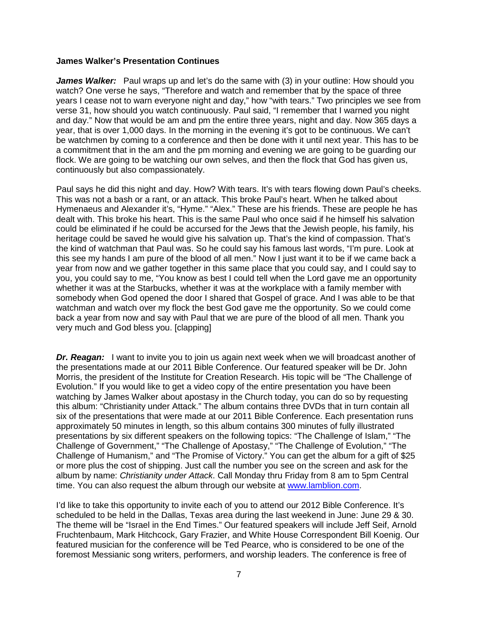### **James Walker's Presentation Continues**

*James Walker:* Paul wraps up and let's do the same with (3) in your outline: How should you watch? One verse he says, "Therefore and watch and remember that by the space of three years I cease not to warn everyone night and day," how "with tears." Two principles we see from verse 31, how should you watch continuously. Paul said, "I remember that I warned you night and day." Now that would be am and pm the entire three years, night and day. Now 365 days a year, that is over 1,000 days. In the morning in the evening it's got to be continuous. We can't be watchmen by coming to a conference and then be done with it until next year. This has to be a commitment that in the am and the pm morning and evening we are going to be guarding our flock. We are going to be watching our own selves, and then the flock that God has given us, continuously but also compassionately.

Paul says he did this night and day. How? With tears. It's with tears flowing down Paul's cheeks. This was not a bash or a rant, or an attack. This broke Paul's heart. When he talked about Hymenaeus and Alexander it's, "Hyme." "Alex." These are his friends. These are people he has dealt with. This broke his heart. This is the same Paul who once said if he himself his salvation could be eliminated if he could be accursed for the Jews that the Jewish people, his family, his heritage could be saved he would give his salvation up. That's the kind of compassion. That's the kind of watchman that Paul was. So he could say his famous last words, "I'm pure. Look at this see my hands I am pure of the blood of all men." Now I just want it to be if we came back a year from now and we gather together in this same place that you could say, and I could say to you, you could say to me, "You know as best I could tell when the Lord gave me an opportunity whether it was at the Starbucks, whether it was at the workplace with a family member with somebody when God opened the door I shared that Gospel of grace. And I was able to be that watchman and watch over my flock the best God gave me the opportunity. So we could come back a year from now and say with Paul that we are pure of the blood of all men. Thank you very much and God bless you. [clapping]

**Dr. Reagan:** I want to invite you to join us again next week when we will broadcast another of the presentations made at our 2011 Bible Conference. Our featured speaker will be Dr. John Morris, the president of the Institute for Creation Research. His topic will be "The Challenge of Evolution." If you would like to get a video copy of the entire presentation you have been watching by James Walker about apostasy in the Church today, you can do so by requesting this album: "Christianity under Attack." The album contains three DVDs that in turn contain all six of the presentations that were made at our 2011 Bible Conference. Each presentation runs approximately 50 minutes in length, so this album contains 300 minutes of fully illustrated presentations by six different speakers on the following topics: "The Challenge of Islam," "The Challenge of Government," "The Challenge of Apostasy," "The Challenge of Evolution," "The Challenge of Humanism," and "The Promise of Victory." You can get the album for a gift of \$25 or more plus the cost of shipping. Just call the number you see on the screen and ask for the album by name: *Christianity under Attack*. Call Monday thru Friday from 8 am to 5pm Central time. You can also request the album through our website at [www.lamblion.com.](http://www.lamblion.com/)

I'd like to take this opportunity to invite each of you to attend our 2012 Bible Conference. It's scheduled to be held in the Dallas, Texas area during the last weekend in June: June 29 & 30. The theme will be "Israel in the End Times." Our featured speakers will include Jeff Seif, Arnold Fruchtenbaum, Mark Hitchcock, Gary Frazier, and White House Correspondent Bill Koenig. Our featured musician for the conference will be Ted Pearce, who is considered to be one of the foremost Messianic song writers, performers, and worship leaders. The conference is free of